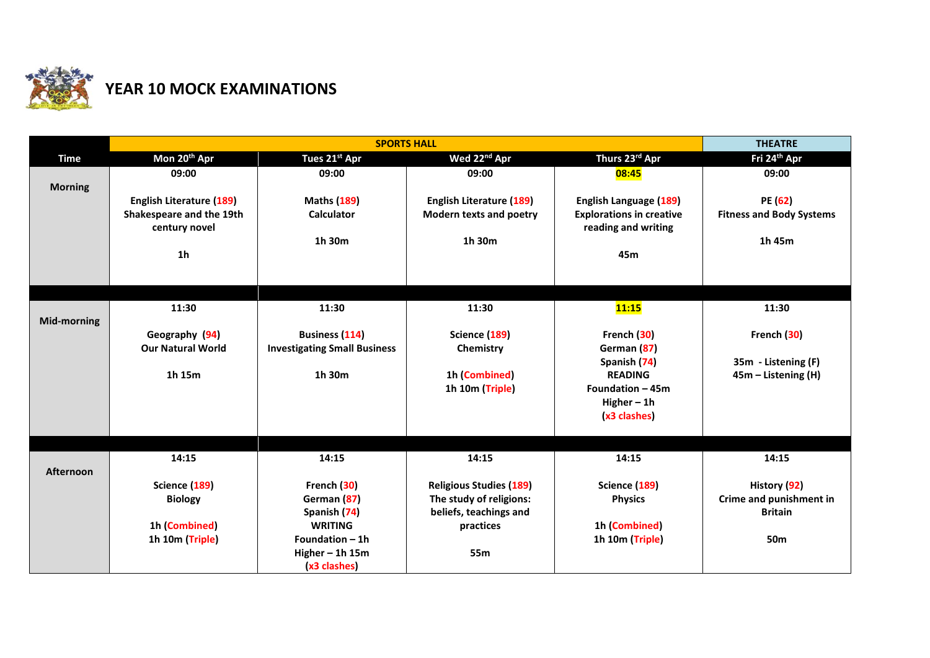

## **YEAR 10 MOCK EXAMINATIONS**

|                    |                                           | <b>THEATRE</b>                      |                                                           |                                                        |                                         |
|--------------------|-------------------------------------------|-------------------------------------|-----------------------------------------------------------|--------------------------------------------------------|-----------------------------------------|
| <b>Time</b>        | Mon 20 <sup>th</sup> Apr                  | Tues 21st Apr                       | Wed 22 <sup>nd</sup> Apr                                  | Thurs 23rd Apr                                         | Fri 24 <sup>th</sup> Apr                |
| <b>Morning</b>     | 09:00                                     | 09:00                               | 09:00                                                     | 08:45                                                  | 09:00                                   |
|                    | <b>English Literature (189)</b>           | <b>Maths (189)</b>                  | <b>English Literature (189)</b>                           | <b>English Language (189)</b>                          | PE (62)                                 |
|                    | Shakespeare and the 19th<br>century novel | <b>Calculator</b>                   | <b>Modern texts and poetry</b>                            | <b>Explorations in creative</b><br>reading and writing | <b>Fitness and Body Systems</b>         |
|                    |                                           | 1h 30m                              | 1h 30m                                                    |                                                        | 1h 45m                                  |
|                    | 1 <sub>h</sub>                            |                                     |                                                           | 45m                                                    |                                         |
|                    |                                           |                                     |                                                           |                                                        |                                         |
|                    |                                           |                                     |                                                           |                                                        |                                         |
| <b>Mid-morning</b> | 11:30                                     | 11:30                               | 11:30                                                     | 11:15                                                  | 11:30                                   |
|                    | Geography (94)                            | <b>Business (114)</b>               | Science (189)                                             | French (30)                                            | French (30)                             |
|                    | <b>Our Natural World</b>                  | <b>Investigating Small Business</b> | Chemistry                                                 | German (87)                                            |                                         |
|                    |                                           |                                     |                                                           | Spanish (74)                                           | 35m - Listening (F)                     |
|                    | 1h 15m                                    | 1h 30m                              | 1h (Combined)                                             | <b>READING</b>                                         | 45m - Listening (H)                     |
|                    |                                           |                                     | 1h 10m (Triple)                                           | Foundation - 45m                                       |                                         |
|                    |                                           |                                     |                                                           | Higher $-1h$<br>(x3 clashes)                           |                                         |
|                    |                                           |                                     |                                                           |                                                        |                                         |
|                    |                                           |                                     |                                                           |                                                        |                                         |
|                    | 14:15                                     | 14:15                               | 14:15                                                     | 14:15                                                  | 14:15                                   |
| Afternoon          |                                           |                                     |                                                           |                                                        |                                         |
|                    | Science (189)<br><b>Biology</b>           | French (30)<br>German (87)          | <b>Religious Studies (189)</b><br>The study of religions: | Science (189)<br><b>Physics</b>                        | History (92)<br>Crime and punishment in |
|                    |                                           | Spanish (74)                        | beliefs, teachings and                                    |                                                        | <b>Britain</b>                          |
|                    | 1h (Combined)                             | <b>WRITING</b>                      | practices                                                 | 1h (Combined)                                          |                                         |
|                    | 1h 10m (Triple)                           | Foundation - 1h                     |                                                           | 1h 10m (Triple)                                        | 50m                                     |
|                    |                                           | Higher $-$ 1h 15m                   | 55m                                                       |                                                        |                                         |
|                    |                                           | (x3 clashes)                        |                                                           |                                                        |                                         |